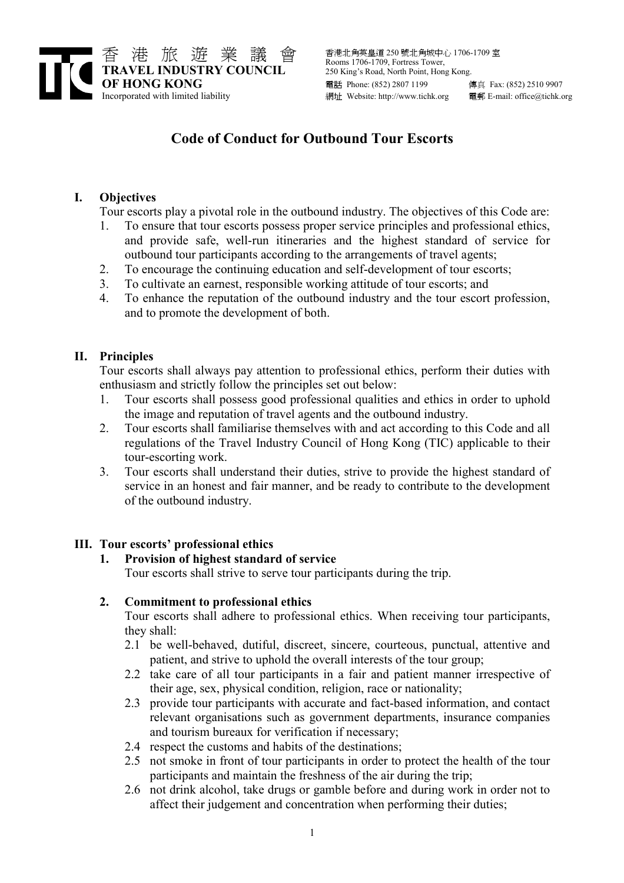

# Code of Conduct for Outbound Tour Escorts

## I. Objectives

Tour escorts play a pivotal role in the outbound industry. The objectives of this Code are:

- 1. To ensure that tour escorts possess proper service principles and professional ethics, and provide safe, well-run itineraries and the highest standard of service for outbound tour participants according to the arrangements of travel agents;
- 2. To encourage the continuing education and self-development of tour escorts;
- 3. To cultivate an earnest, responsible working attitude of tour escorts; and
- 4. To enhance the reputation of the outbound industry and the tour escort profession, and to promote the development of both.

## II. Principles

Tour escorts shall always pay attention to professional ethics, perform their duties with enthusiasm and strictly follow the principles set out below:

- 1. Tour escorts shall possess good professional qualities and ethics in order to uphold the image and reputation of travel agents and the outbound industry.
- 2. Tour escorts shall familiarise themselves with and act according to this Code and all regulations of the Travel Industry Council of Hong Kong (TIC) applicable to their tour-escorting work.
- 3. Tour escorts shall understand their duties, strive to provide the highest standard of service in an honest and fair manner, and be ready to contribute to the development of the outbound industry.

## III. Tour escorts' professional ethics

#### 1. Provision of highest standard of service

Tour escorts shall strive to serve tour participants during the trip.

#### 2. Commitment to professional ethics

Tour escorts shall adhere to professional ethics. When receiving tour participants, they shall:

- 2.1 be well-behaved, dutiful, discreet, sincere, courteous, punctual, attentive and patient, and strive to uphold the overall interests of the tour group;
- 2.2 take care of all tour participants in a fair and patient manner irrespective of their age, sex, physical condition, religion, race or nationality;
- 2.3 provide tour participants with accurate and fact-based information, and contact relevant organisations such as government departments, insurance companies and tourism bureaux for verification if necessary;
- 2.4 respect the customs and habits of the destinations;
- 2.5 not smoke in front of tour participants in order to protect the health of the tour participants and maintain the freshness of the air during the trip;
- 2.6 not drink alcohol, take drugs or gamble before and during work in order not to affect their judgement and concentration when performing their duties;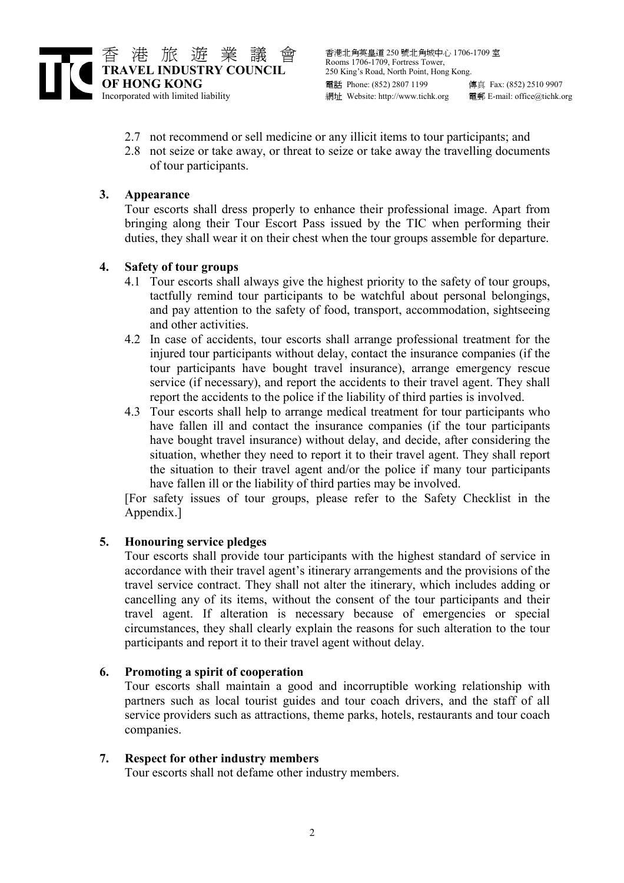

- 2.7 not recommend or sell medicine or any illicit items to tour participants; and
- 2.8 not seize or take away, or threat to seize or take away the travelling documents of tour participants.

## 3. Appearance

Tour escorts shall dress properly to enhance their professional image. Apart from bringing along their Tour Escort Pass issued by the TIC when performing their duties, they shall wear it on their chest when the tour groups assemble for departure.

## 4. Safety of tour groups

- 4.1 Tour escorts shall always give the highest priority to the safety of tour groups, tactfully remind tour participants to be watchful about personal belongings, and pay attention to the safety of food, transport, accommodation, sightseeing and other activities.
- 4.2 In case of accidents, tour escorts shall arrange professional treatment for the injured tour participants without delay, contact the insurance companies (if the tour participants have bought travel insurance), arrange emergency rescue service (if necessary), and report the accidents to their travel agent. They shall report the accidents to the police if the liability of third parties is involved.
- 4.3 Tour escorts shall help to arrange medical treatment for tour participants who have fallen ill and contact the insurance companies (if the tour participants have bought travel insurance) without delay, and decide, after considering the situation, whether they need to report it to their travel agent. They shall report the situation to their travel agent and/or the police if many tour participants have fallen ill or the liability of third parties may be involved.

[For safety issues of tour groups, please refer to the Safety Checklist in the Appendix.]

## 5. Honouring service pledges

Tour escorts shall provide tour participants with the highest standard of service in accordance with their travel agent's itinerary arrangements and the provisions of the travel service contract. They shall not alter the itinerary, which includes adding or cancelling any of its items, without the consent of the tour participants and their travel agent. If alteration is necessary because of emergencies or special circumstances, they shall clearly explain the reasons for such alteration to the tour participants and report it to their travel agent without delay.

#### 6. Promoting a spirit of cooperation

Tour escorts shall maintain a good and incorruptible working relationship with partners such as local tourist guides and tour coach drivers, and the staff of all service providers such as attractions, theme parks, hotels, restaurants and tour coach companies.

#### 7. Respect for other industry members

Tour escorts shall not defame other industry members.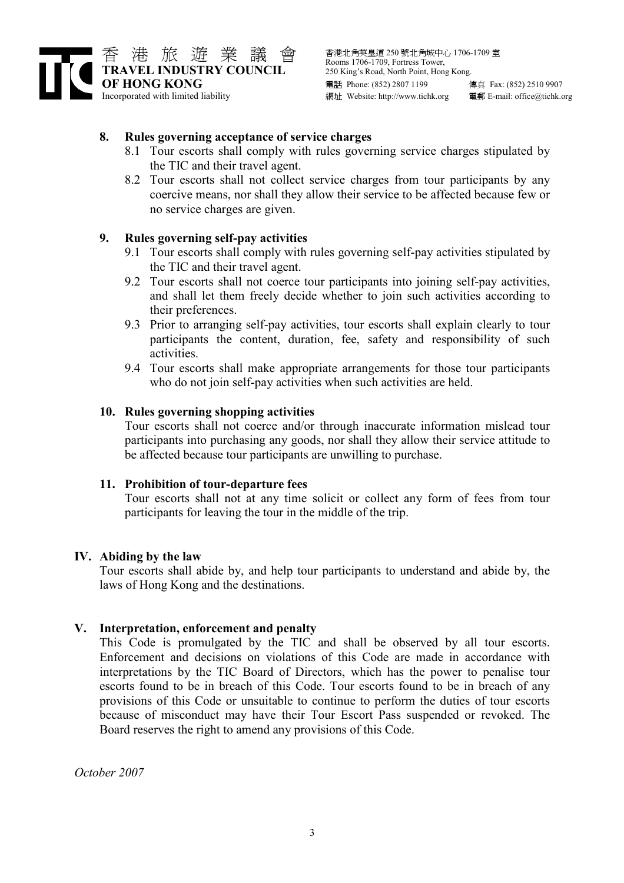

#### 8. Rules governing acceptance of service charges

- 8.1 Tour escorts shall comply with rules governing service charges stipulated by the TIC and their travel agent.
- 8.2 Tour escorts shall not collect service charges from tour participants by any coercive means, nor shall they allow their service to be affected because few or no service charges are given.

## 9. Rules governing self-pay activities

- 9.1 Tour escorts shall comply with rules governing self-pay activities stipulated by the TIC and their travel agent.
- 9.2 Tour escorts shall not coerce tour participants into joining self-pay activities, and shall let them freely decide whether to join such activities according to their preferences.
- 9.3 Prior to arranging self-pay activities, tour escorts shall explain clearly to tour participants the content, duration, fee, safety and responsibility of such activities.
- 9.4 Tour escorts shall make appropriate arrangements for those tour participants who do not join self-pay activities when such activities are held.

#### 10. Rules governing shopping activities

Tour escorts shall not coerce and/or through inaccurate information mislead tour participants into purchasing any goods, nor shall they allow their service attitude to be affected because tour participants are unwilling to purchase.

#### 11. Prohibition of tour-departure fees

Tour escorts shall not at any time solicit or collect any form of fees from tour participants for leaving the tour in the middle of the trip.

#### IV. Abiding by the law

Tour escorts shall abide by, and help tour participants to understand and abide by, the laws of Hong Kong and the destinations.

#### V. Interpretation, enforcement and penalty

This Code is promulgated by the TIC and shall be observed by all tour escorts. Enforcement and decisions on violations of this Code are made in accordance with interpretations by the TIC Board of Directors, which has the power to penalise tour escorts found to be in breach of this Code. Tour escorts found to be in breach of any provisions of this Code or unsuitable to continue to perform the duties of tour escorts because of misconduct may have their Tour Escort Pass suspended or revoked. The Board reserves the right to amend any provisions of this Code.

October 2007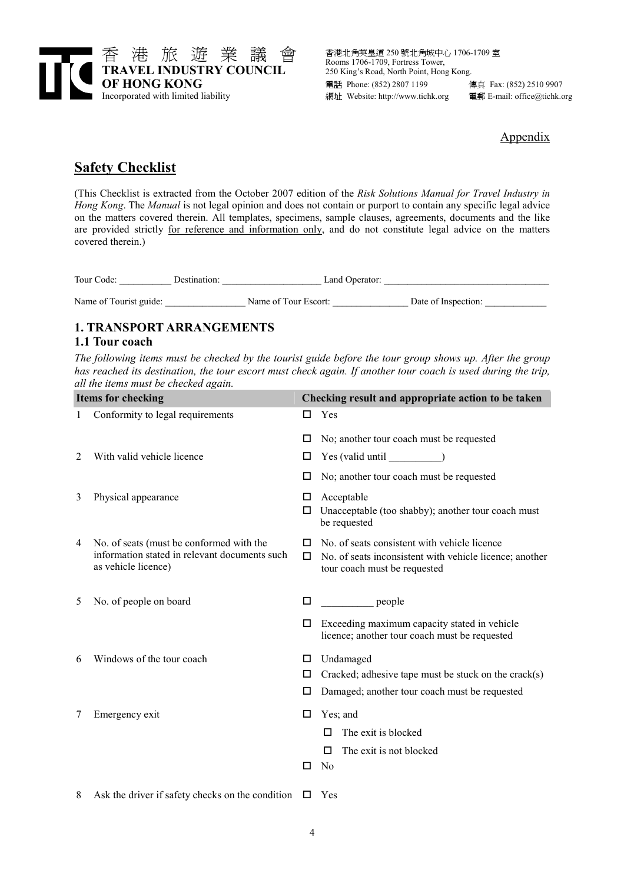

#### Appendix

## **Safety Checklist**

(This Checklist is extracted from the October 2007 edition of the Risk Solutions Manual for Travel Industry in Hong Kong. The Manual is not legal opinion and does not contain or purport to contain any specific legal advice on the matters covered therein. All templates, specimens, sample clauses, agreements, documents and the like are provided strictly for reference and information only, and do not constitute legal advice on the matters covered therein.)

| Tour Code:             | Destination: | Land Operator:       |                     |
|------------------------|--------------|----------------------|---------------------|
| Name of Tourist guide: |              | Name of Tour Escort: | Date of Inspection: |

## 1. TRANSPORT ARRANGEMENTS

## 1.1 Tour coach

The following items must be checked by the tourist guide before the tour group shows up. After the group has reached its destination, the tour escort must check again. If another tour coach is used during the trip, all the items must be checked again.

| Items for checking |                                                                                                                  | Checking result and appropriate action to be taken |                                                                                                                                         |  |
|--------------------|------------------------------------------------------------------------------------------------------------------|----------------------------------------------------|-----------------------------------------------------------------------------------------------------------------------------------------|--|
| $\mathbf{1}$       | Conformity to legal requirements                                                                                 | □                                                  | Yes                                                                                                                                     |  |
|                    |                                                                                                                  | □                                                  | No; another tour coach must be requested                                                                                                |  |
| 2                  | With valid vehicle licence                                                                                       | □                                                  | Yes (valid until )                                                                                                                      |  |
|                    |                                                                                                                  | □                                                  | No; another tour coach must be requested                                                                                                |  |
| 3                  | Physical appearance                                                                                              | □<br>□                                             | Acceptable<br>Unacceptable (too shabby); another tour coach must<br>be requested                                                        |  |
| 4                  | No. of seats (must be conformed with the<br>information stated in relevant documents such<br>as vehicle licence) | п<br>□                                             | No. of seats consistent with vehicle licence<br>No. of seats inconsistent with vehicle licence; another<br>tour coach must be requested |  |
| 5                  | No. of people on board                                                                                           | □                                                  | $\rule{1em}{0.15mm}$ people                                                                                                             |  |
|                    |                                                                                                                  | □                                                  | Exceeding maximum capacity stated in vehicle<br>licence; another tour coach must be requested                                           |  |
| 6                  | Windows of the tour coach                                                                                        | □                                                  | Undamaged                                                                                                                               |  |
|                    |                                                                                                                  | □                                                  | Cracked; adhesive tape must be stuck on the crack(s)                                                                                    |  |
|                    |                                                                                                                  | □                                                  | Damaged; another tour coach must be requested                                                                                           |  |
| 7                  | Emergency exit                                                                                                   | □                                                  | Yes; and                                                                                                                                |  |
|                    |                                                                                                                  |                                                    | The exit is blocked<br>п                                                                                                                |  |
|                    |                                                                                                                  |                                                    | The exit is not blocked<br>п                                                                                                            |  |
|                    |                                                                                                                  | □                                                  | N <sub>0</sub>                                                                                                                          |  |
|                    | $\Lambda$ algebra duivant fractive aboalize an the condition $\Box$ Vec                                          |                                                    |                                                                                                                                         |  |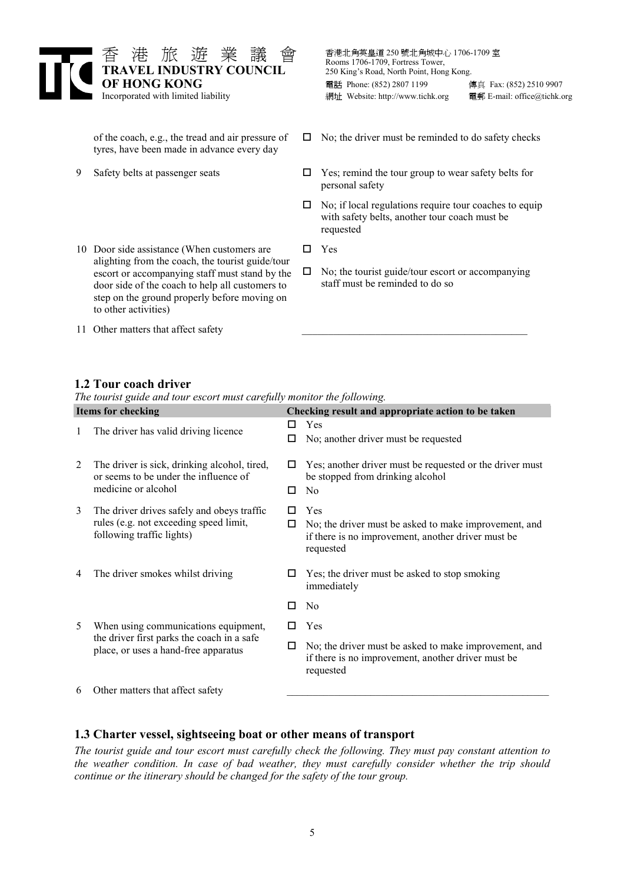

- of the coach, e.g., the tread and air pressure of tyres, have been made in advance every day
- 9 Safety belts at passenger seats
- 10 Door side assistance (When customers are  $\square$  Yes alighting from the coach, the tourist guide/tour escort or accompanying staff must stand by the door side of the coach to help all customers to step on the ground properly before moving on to other activities)
- 

 $\Box$  No; the driver must be reminded to do safety checks

- $\Box$  Yes; remind the tour group to wear safety belts for personal safety
- $\Box$  No; if local regulations require tour coaches to equip with safety belts, another tour coach must be requested
	-
- $\square$  No; the tourist guide/tour escort or accompanying staff must be reminded to do so
- 11 Other matters that affect safety

#### 1.2 Tour coach driver

The tourist guide and tour escort must carefully monitor the following.

|   | <b>Items for checking</b>                                                                                                  | Checking result and appropriate action to be taken |                                                                                                                                 |  |
|---|----------------------------------------------------------------------------------------------------------------------------|----------------------------------------------------|---------------------------------------------------------------------------------------------------------------------------------|--|
| 1 | The driver has valid driving licence                                                                                       | □<br>□                                             | Yes<br>No; another driver must be requested                                                                                     |  |
| 2 | The driver is sick, drinking alcohol, tired,<br>or seems to be under the influence of<br>medicine or alcohol               | ப<br>п                                             | Yes; another driver must be requested or the driver must<br>be stopped from drinking alcohol<br>N <sub>0</sub>                  |  |
| 3 | The driver drives safely and obeys traffic<br>rules (e.g. not exceeding speed limit,<br>following traffic lights)          | П<br>□                                             | Yes<br>No; the driver must be asked to make improvement, and<br>if there is no improvement, another driver must be<br>requested |  |
| 4 | The driver smokes whilst driving                                                                                           | ப                                                  | Yes; the driver must be asked to stop smoking<br>immediately                                                                    |  |
|   |                                                                                                                            | □                                                  | N <sub>0</sub>                                                                                                                  |  |
| 5 | When using communications equipment,<br>the driver first parks the coach in a safe<br>place, or uses a hand-free apparatus | ш                                                  | Yes                                                                                                                             |  |
|   |                                                                                                                            | □                                                  | No; the driver must be asked to make improvement, and<br>if there is no improvement, another driver must be<br>requested        |  |
| 6 | Other matters that affect safety                                                                                           |                                                    |                                                                                                                                 |  |

#### 1.3 Charter vessel, sightseeing boat or other means of transport

The tourist guide and tour escort must carefully check the following. They must pay constant attention to the weather condition. In case of bad weather, they must carefully consider whether the trip should continue or the itinerary should be changed for the safety of the tour group.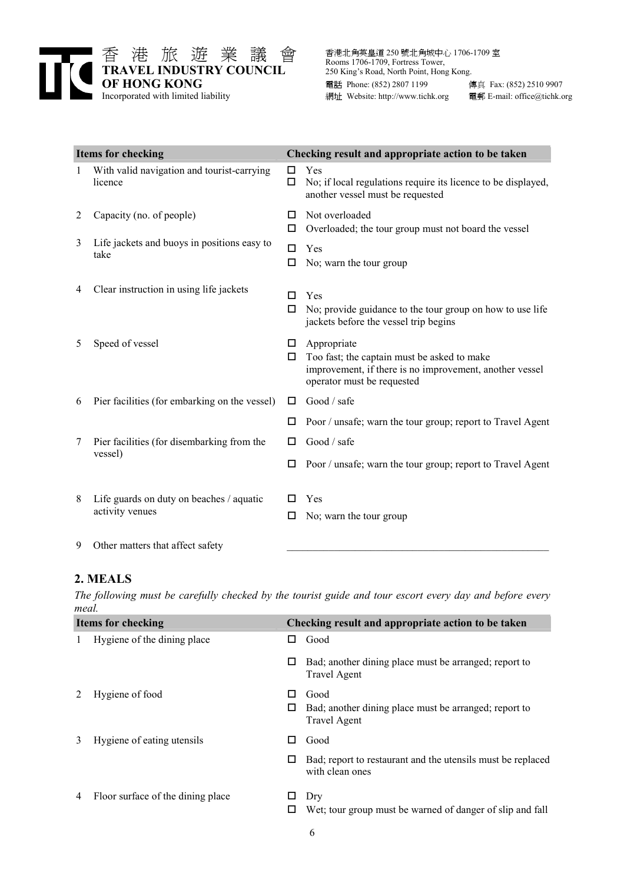

| <b>Items for checking</b> |                                                             |             | Checking result and appropriate action to be taken                                                                                                  |  |  |
|---------------------------|-------------------------------------------------------------|-------------|-----------------------------------------------------------------------------------------------------------------------------------------------------|--|--|
| 1                         | With valid navigation and tourist-carrying<br>licence       | □<br>□      | Yes<br>No; if local regulations require its licence to be displayed,<br>another vessel must be requested                                            |  |  |
| 2                         | Capacity (no. of people)                                    | □<br>□      | Not overloaded<br>Overloaded; the tour group must not board the vessel                                                                              |  |  |
| 3                         | Life jackets and buoys in positions easy to<br>take         | $\Box$<br>□ | Yes<br>No; warn the tour group                                                                                                                      |  |  |
| 4                         | Clear instruction in using life jackets                     | п<br>□      | Yes<br>No; provide guidance to the tour group on how to use life<br>jackets before the vessel trip begins                                           |  |  |
| 5                         | Speed of vessel                                             | □<br>□      | Appropriate<br>Too fast; the captain must be asked to make<br>improvement, if there is no improvement, another vessel<br>operator must be requested |  |  |
| 6                         | Pier facilities (for embarking on the vessel)               | □           | Good / safe                                                                                                                                         |  |  |
|                           |                                                             | П           | Poor / unsafe; warn the tour group; report to Travel Agent                                                                                          |  |  |
| 7                         | Pier facilities (for disembarking from the                  | □           | Good / safe                                                                                                                                         |  |  |
|                           | vessel)                                                     | □           | Poor / unsafe; warn the tour group; report to Travel Agent                                                                                          |  |  |
| 8                         | Life guards on duty on beaches / aquatic<br>activity venues | □           | Yes<br>No; warn the tour group                                                                                                                      |  |  |
| 9                         | Other matters that affect safety                            |             |                                                                                                                                                     |  |  |

#### 2. MEALS

The following must be carefully checked by the tourist guide and tour escort every day and before every meal.

| <b>Items for checking</b> |                                   |    | Checking result and appropriate action to be taken                             |
|---------------------------|-----------------------------------|----|--------------------------------------------------------------------------------|
|                           | Hygiene of the dining place       | ப  | Good                                                                           |
|                           |                                   | □  | Bad; another dining place must be arranged; report to<br><b>Travel Agent</b>   |
|                           | Hygiene of food                   | ΙI | Good                                                                           |
|                           |                                   |    | Bad; another dining place must be arranged; report to<br><b>Travel Agent</b>   |
| 3                         | Hygiene of eating utensils        |    | Good                                                                           |
|                           |                                   | □  | Bad; report to restaurant and the utensils must be replaced<br>with clean ones |
| 4                         | Floor surface of the dining place | ப  | Dry                                                                            |
|                           |                                   |    | Wet; tour group must be warned of danger of slip and fall                      |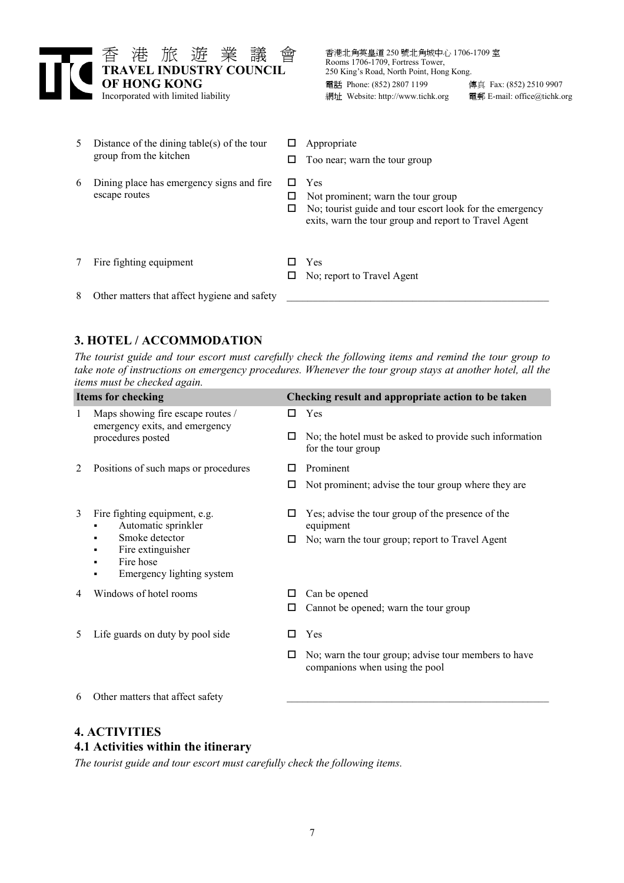

| 5. | Distance of the dining table(s) of the tour<br>group from the kitchen |   | Appropriate<br>Too near; warn the tour group                                                                                                                   |
|----|-----------------------------------------------------------------------|---|----------------------------------------------------------------------------------------------------------------------------------------------------------------|
| 6  | Dining place has emergency signs and fire<br>escape routes            | ப | Yes<br>Not prominent; warn the tour group<br>No; tourist guide and tour escort look for the emergency<br>exits, warn the tour group and report to Travel Agent |
|    | Fire fighting equipment                                               |   | Yes<br>No: report to Travel Agent                                                                                                                              |
| 8  | Other matters that affect hygiene and safety                          |   |                                                                                                                                                                |

## 3. HOTEL / ACCOMMODATION

The tourist guide and tour escort must carefully check the following items and remind the tour group to take note of instructions on emergency procedures. Whenever the tour group stays at another hotel, all the items must be checked again.

| <b>Items for checking</b> |                                                                                          |   | Checking result and appropriate action to be taken                                     |  |
|---------------------------|------------------------------------------------------------------------------------------|---|----------------------------------------------------------------------------------------|--|
| 1                         | Maps showing fire escape routes /<br>emergency exits, and emergency<br>procedures posted | □ | Yes                                                                                    |  |
|                           |                                                                                          | □ | No; the hotel must be asked to provide such information<br>for the tour group          |  |
| 2                         | Positions of such maps or procedures                                                     | □ | Prominent                                                                              |  |
|                           |                                                                                          | □ | Not prominent; advise the tour group where they are                                    |  |
| 3                         | Fire fighting equipment, e.g.<br>Automatic sprinkler                                     | □ | Yes; advise the tour group of the presence of the<br>equipment                         |  |
|                           | Smoke detector<br>п<br>Fire extinguisher<br>Fire hose<br>Emergency lighting system       | □ | No; warn the tour group; report to Travel Agent                                        |  |
| 4                         | Windows of hotel rooms                                                                   | □ | Can be opened                                                                          |  |
|                           |                                                                                          | □ | Cannot be opened; warn the tour group                                                  |  |
| 5                         | Life guards on duty by pool side                                                         | п | Yes                                                                                    |  |
|                           |                                                                                          | □ | No; warn the tour group; advise tour members to have<br>companions when using the pool |  |
| 6                         | Other matters that affect safety                                                         |   |                                                                                        |  |

## 4. ACTIVITIES

#### 4.1 Activities within the itinerary

The tourist guide and tour escort must carefully check the following items.